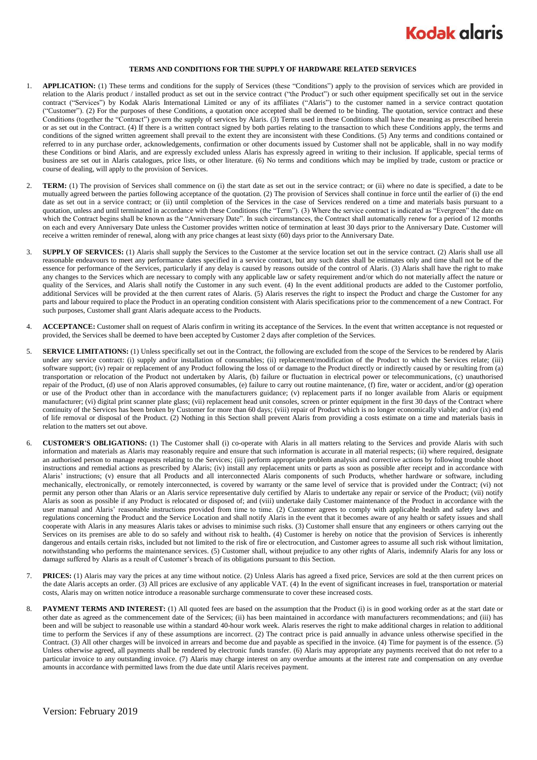

## **TERMS AND CONDITIONS FOR THE SUPPLY OF HARDWARE RELATED SERVICES**

- 1. **APPLICATION:** (1) These terms and conditions for the supply of Services (these "Conditions") apply to the provision of services which are provided in relation to the Alaris product / installed product as set out in the service contract ("the Product") or such other equipment specifically set out in the service contract ("Services") by Kodak Alaris International Limited or any of its affiliates ("Alaris") to the customer named in a service contract quotation ("Customer"). (2) For the purposes of these Conditions, a quotation once accepted shall be deemed to be binding. The quotation, service contract and these Conditions (together the "Contract") govern the supply of services by Alaris. (3) Terms used in these Conditions shall have the meaning as prescribed herein or as set out in the Contract. (4) If there is a written contract signed by both parties relating to the transaction to which these Conditions apply, the terms and conditions of the signed written agreement shall prevail to the extent they are inconsistent with these Conditions. (5) Any terms and conditions contained or referred to in any purchase order, acknowledgements, confirmation or other documents issued by Customer shall not be applicable, shall in no way modify these Conditions or bind Alaris, and are expressly excluded unless Alaris has expressly agreed in writing to their inclusion. If applicable, special terms of business are set out in Alaris catalogues, price lists, or other literature. (6) No terms and conditions which may be implied by trade, custom or practice or course of dealing, will apply to the provision of Services.
- 2. **TERM:** (1) The provision of Services shall commence on (i) the start date as set out in the service contract; or (ii) where no date is specified, a date to be mutually agreed between the parties following acceptance of the quotation. (2) The provision of Services shall continue in force until the earlier of (i) the end date as set out in a service contract; or (ii) until completion of the Services in the case of Services rendered on a time and materials basis pursuant to a quotation, unless and until terminated in accordance with these Conditions (the "Term"). (3) Where the service contract is indicated as "Evergreen" the date on which the Contract begins shall be known as the "Anniversary Date". In such circumstances, the Contract shall automatically renew for a period of 12 months on each and every Anniversary Date unless the Customer provides written notice of termination at least 30 days prior to the Anniversary Date. Customer will receive a written reminder of renewal, along with any price changes at least sixty (60) days prior to the Anniversary Date.
- 3. **SUPPLY OF SERVICES:** (1) Alaris shall supply the Services to the Customer at the service location set out in the service contract. (2) Alaris shall use all reasonable endeavours to meet any performance dates specified in a service contract, but any such dates shall be estimates only and time shall not be of the essence for performance of the Services, particularly if any delay is caused by reasons outside of the control of Alaris. (3) Alaris shall have the right to make any changes to the Services which are necessary to comply with any applicable law or safety requirement and/or which do not materially affect the nature or quality of the Services, and Alaris shall notify the Customer in any such event. (4) In the event additional products are added to the Customer portfolio, additional Services will be provided at the then current rates of Alaris. (5) Alaris reserves the right to inspect the Product and charge the Customer for any parts and labour required to place the Product in an operating condition consistent with Alaris specifications prior to the commencement of a new Contract. For such purposes, Customer shall grant Alaris adequate access to the Products.
- 4. **ACCEPTANCE:** Customer shall on request of Alaris confirm in writing its acceptance of the Services. In the event that written acceptance is not requested or provided, the Services shall be deemed to have been accepted by Customer 2 days after completion of the Services.
- 5. **SERVICE LIMITATIONS:** (1) Unless specifically set out in the Contract, the following are excluded from the scope of the Services to be rendered by Alaris under any service contract: (i) supply and/or installation of consumables; (ii) replacement/modification of the Product to which the Services relate; (iii) software support; (iv) repair or replacement of any Product following the loss of or damage to the Product directly or indirectly caused by or resulting from (a) transportation or relocation of the Product not undertaken by Alaris, (b) failure or fluctuation in electrical power or telecommunications, (c) unauthorised repair of the Product, (d) use of non Alaris approved consumables, (e) failure to carry out routine maintenance, (f) fire, water or accident, and/or (g) operation or use of the Product other than in accordance with the manufacturers guidance; (v) replacement parts if no longer available from Alaris or equipment manufacturer; (vi) digital print scanner plate glass; (vii) replacement head unit consoles, screen or printer equipment in the first 30 days of the Contract where continuity of the Services has been broken by Customer for more than 60 days; (viii) repair of Product which is no longer economically viable; and/or (ix) end of life removal or disposal of the Product. (2) Nothing in this Section shall prevent Alaris from providing a costs estimate on a time and materials basis in relation to the matters set out above.
- <span id="page-0-0"></span>6. **CUSTOMER'S OBLIGATIONS:** (1) The Customer shall (i) co-operate with Alaris in all matters relating to the Services and provide Alaris with such information and materials as Alaris may reasonably require and ensure that such information is accurate in all material respects; (ii) where required, designate an authorised person to manage requests relating to the Services; (iii) perform appropriate problem analysis and corrective actions by following trouble shoot instructions and remedial actions as prescribed by Alaris; (iv) install any replacement units or parts as soon as possible after receipt and in accordance with Alaris' instructions; (v) ensure that all Products and all interconnected Alaris components of such Products, whether hardware or software, including mechanically, electronically, or remotely interconnected, is covered by warranty or the same level of service that is provided under the Contract; (vi) not permit any person other than Alaris or an Alaris service representative duly certified by Alaris to undertake any repair or service of the Product; (vii) notify Alaris as soon as possible if any Product is relocated or disposed of; and (viii) undertake daily Customer maintenance of the Product in accordance with the user manual and Alaris' reasonable instructions provided from time to time. (2) Customer agrees to comply with applicable health and safety laws and regulations concerning the Product and the Service Location and shall notify Alaris in the event that it becomes aware of any health or safety issues and shall cooperate with Alaris in any measures Alaris takes or advises to minimise such risks. (3) Customer shall ensure that any engineers or others carrying out the Services on its premises are able to do so safely and without risk to health**.** (4) Customer is hereby on notice that the provision of Services is inherently dangerous and entails certain risks, included but not limited to the risk of fire or electrocution, and Customer agrees to assume all such risk without limitation, notwithstanding who performs the maintenance services. (5) Customer shall, without prejudice to any other rights of Alaris, indemnify Alaris for any loss or damage suffered by Alaris as a result of Customer's breach of its obligations pursuant to this Section.
- 7. **PRICES:** (1) Alaris may vary the prices at any time without notice. (2) Unless Alaris has agreed a fixed price, Services are sold at the then current prices on the date Alaris accepts an order. (3) All prices are exclusive of any applicable VAT. (4) In the event of significant increases in fuel, transportation or material costs, Alaris may on written notice introduce a reasonable surcharge commensurate to cover these increased costs.
- 8. **PAYMENT TERMS AND INTEREST:** (1) All quoted fees are based on the assumption that the Product (i) is in good working order as at the start date or other date as agreed as the commencement date of the Services; (ii) has been maintained in accordance with manufacturers recommendations; and (iii) has been and will be subject to reasonable use within a standard 40-hour work week. Alaris reserves the right to make additional charges in relation to additional time to perform the Services if any of these assumptions are incorrect. (2) The contract price is paid annually in advance unless otherwise specified in the Contract. (3) All other charges will be invoiced in arrears and become due and payable as specified in the invoice. (4) Time for payment is of the essence. (5) Unless otherwise agreed, all payments shall be rendered by electronic funds transfer. (6) Alaris may appropriate any payments received that do not refer to a particular invoice to any outstanding invoice. (7) Alaris may charge interest on any overdue amounts at the interest rate and compensation on any overdue amounts in accordance with permitted laws from the due date until Alaris receives payment.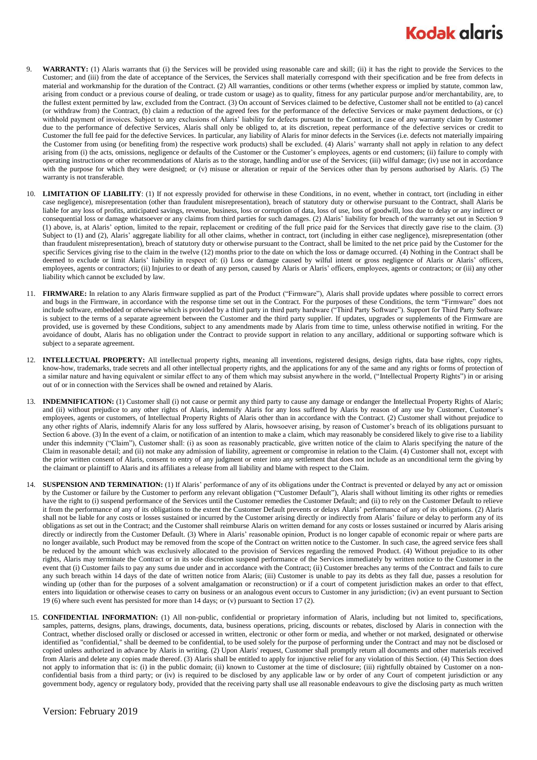## **Kodak alaris**

- 9. **WARRANTY:** (1) Alaris warrants that (i) the Services will be provided using reasonable care and skill; (ii) it has the right to provide the Services to the Customer; and (iii) from the date of acceptance of the Services, the Services shall materially correspond with their specification and be free from defects in material and workmanship for the duration of the Contract. (2) All warranties, conditions or other terms (whether express or implied by statute, common law, arising from conduct or a previous course of dealing, or trade custom or usage) as to quality, fitness for any particular purpose and/or merchantability, are, to the fullest extent permitted by law, excluded from the Contract. (3) On account of Services claimed to be defective, Customer shall not be entitled to (a) cancel (or withdraw from) the Contract, (b) claim a reduction of the agreed fees for the performance of the defective Services or make payment deductions, or (c) withhold payment of invoices. Subject to any exclusions of Alaris' liability for defects pursuant to the Contract, in case of any warranty claim by Customer due to the performance of defective Services, Alaris shall only be obliged to, at its discretion, repeat performance of the defective services or credit to Customer the full fee paid for the defective Services. In particular, any liability of Alaris for minor defects in the Services (i.e. defects not materially impairing the Customer from using (or benefiting from) the respective work products) shall be excluded. (4) Alaris' warranty shall not apply in relation to any defect arising from (i) the acts, omissions, negligence or defaults of the Customer or the Customer's employees, agents or end customers; (ii) failure to comply with operating instructions or other recommendations of Alaris as to the storage, handling and/or use of the Services; (iii) wilful damage; (iv) use not in accordance with the purpose for which they were designed; or (v) misuse or alteration or repair of the Services other than by persons authorised by Alaris. (5) The warranty is not transferable.
- 10. **LIMITATION OF LIABILITY**: (1) If not expressly provided for otherwise in these Conditions, in no event, whether in contract, tort (including in either case negligence), misrepresentation (other than fraudulent misrepresentation), breach of statutory duty or otherwise pursuant to the Contract, shall Alaris be liable for any loss of profits, anticipated savings, revenue, business, loss or corruption of data, loss of use, loss of goodwill, loss due to delay or any indirect or consequential loss or damage whatsoever or any claims from third parties for such damages. (2) Alaris' liability for breach of the warranty set out in Section 9 (1) above, is, at Alaris' option, limited to the repair, replacement or crediting of the full price paid for the Services that directly gave rise to the claim. (3) Subject to (1) and (2), Alaris' aggregate liability for all other claims, whether in contract, tort (including in either case negligence), misrepresentation (other than fraudulent misrepresentation), breach of statutory duty or otherwise pursuant to the Contract, shall be limited to the net price paid by the Customer for the specific Services giving rise to the claim in the twelve (12) months prior to the date on which the loss or damage occurred. (4) Nothing in the Contract shall be deemed to exclude or limit Alaris' liability in respect of: (i) Loss or damage caused by wilful intent or gross negligence of Alaris or Alaris' officers, employees, agents or contractors; (ii) Injuries to or death of any person, caused by Alaris or Alaris' officers, employees, agents or contractors; or (iii) any other liability which cannot be excluded by law.
- 11. **FIRMWARE:** In relation to any Alaris firmware supplied as part of the Product ("Firmware"), Alaris shall provide updates where possible to correct errors and bugs in the Firmware, in accordance with the response time set out in the Contract. For the purposes of these Conditions, the term "Firmware" does not include software, embedded or otherwise which is provided by a third party in third party hardware ("Third Party Software"). Support for Third Party Software is subject to the terms of a separate agreement between the Customer and the third party supplier. If updates, upgrades or supplements of the Firmware are provided, use is governed by these Conditions, subject to any amendments made by Alaris from time to time, unless otherwise notified in writing. For the avoidance of doubt, Alaris has no obligation under the Contract to provide support in relation to any ancillary, additional or supporting software which is subject to a separate agreement.
- 12. **INTELLECTUAL PROPERTY:** All intellectual property rights, meaning all inventions, registered designs, design rights, data base rights, copy rights, know-how, trademarks, trade secrets and all other intellectual property rights, and the applications for any of the same and any rights or forms of protection of a similar nature and having equivalent or similar effect to any of them which may subsist anywhere in the world, ("Intellectual Property Rights") in or arising out of or in connection with the Services shall be owned and retained by Alaris.
- 13. **INDEMNIFICATION:** (1) Customer shall (i) not cause or permit any third party to cause any damage or endanger the Intellectual Property Rights of Alaris; and (ii) without prejudice to any other rights of Alaris, indemnify Alaris for any loss suffered by Alaris by reason of any use by Customer, Customer's employees, agents or customers, of Intellectual Property Rights of Alaris other than in accordance with the Contract. (2) Customer shall without prejudice to any other rights of Alaris, indemnify Alaris for any loss suffered by Alaris, howsoever arising, by reason of Customer's breach of its obligations pursuant to Sectio[n 6](#page-0-0) above. (3) In the event of a claim, or notification of an intention to make a claim, which may reasonably be considered likely to give rise to a liability under this indemnity ("Claim"), Customer shall: (i) as soon as reasonably practicable, give written notice of the claim to Alaris specifying the nature of the Claim in reasonable detail; and (ii) not make any admission of liability, agreement or compromise in relation to the Claim. (4) Customer shall not, except with the prior written consent of Alaris, consent to entry of any judgment or enter into any settlement that does not include as an unconditional term the giving by the claimant or plaintiff to Alaris and its affiliates a release from all liability and blame with respect to the Claim.
- **SUSPENSION AND TERMINATION:** (1) If Alaris' performance of any of its obligations under the Contract is prevented or delayed by any act or omission by the Customer or failure by the Customer to perform any relevant obligation ("Customer Default"), Alaris shall without limiting its other rights or remedies have the right to (i) suspend performance of the Services until the Customer remedies the Customer Default; and (ii) to rely on the Customer Default to relieve it from the performance of any of its obligations to the extent the Customer Default prevents or delays Alaris' performance of any of its obligations. (2) Alaris shall not be liable for any costs or losses sustained or incurred by the Customer arising directly or indirectly from Alaris' failure or delay to perform any of its obligations as set out in the Contract; and the Customer shall reimburse Alaris on written demand for any costs or losses sustained or incurred by Alaris arising directly or indirectly from the Customer Default. (3) Where in Alaris' reasonable opinion, Product is no longer capable of economic repair or where parts are no longer available, such Product may be removed from the scope of the Contract on written notice to the Customer. In such case, the agreed service fees shall be reduced by the amount which was exclusively allocated to the provision of Services regarding the removed Product. (4) Without prejudice to its other rights, Alaris may terminate the Contract or in its sole discretion suspend performance of the Services immediately by written notice to the Customer in the event that (i) Customer fails to pay any sums due under and in accordance with the Contract; (ii) Customer breaches any terms of the Contract and fails to cure any such breach within 14 days of the date of written notice from Alaris; (iii) Customer is unable to pay its debts as they fall due, passes a resolution for winding up (other than for the purposes of a solvent amalgamation or reconstruction) or if a court of competent jurisdiction makes an order to that effect, enters into liquidation or otherwise ceases to carry on business or an analogous event occurs to Customer in any jurisdiction; (iv) an event pursuant to Section 19 (6) where such event has persisted for more than 14 days; or (v) pursuant to Sectio[n 17](#page-2-0) (2).
- 15. **CONFIDENTIAL INFORMATION:** (1) All non-public, confidential or proprietary information of Alaris, including but not limited to, specifications, samples, patterns, designs, plans, drawings, documents, data, business operations, pricing, discounts or rebates, disclosed by Alaris in connection with the Contract, whether disclosed orally or disclosed or accessed in written, electronic or other form or media, and whether or not marked, designated or otherwise identified as "confidential," shall be deemed to be confidential, to be used solely for the purpose of performing under the Contract and may not be disclosed or copied unless authorized in advance by Alaris in writing. (2) Upon Alaris' request, Customer shall promptly return all documents and other materials received from Alaris and delete any copies made thereof. (3) Alaris shall be entitled to apply for injunctive relief for any violation of this Section. (4) This Section does not apply to information that is: (i) in the public domain; (ii) known to Customer at the time of disclosure; (iii) rightfully obtained by Customer on a nonconfidential basis from a third party; or (iv) is required to be disclosed by any applicable law or by order of any Court of competent jurisdiction or any government body, agency or regulatory body, provided that the receiving party shall use all reasonable endeavours to give the disclosing party as much written